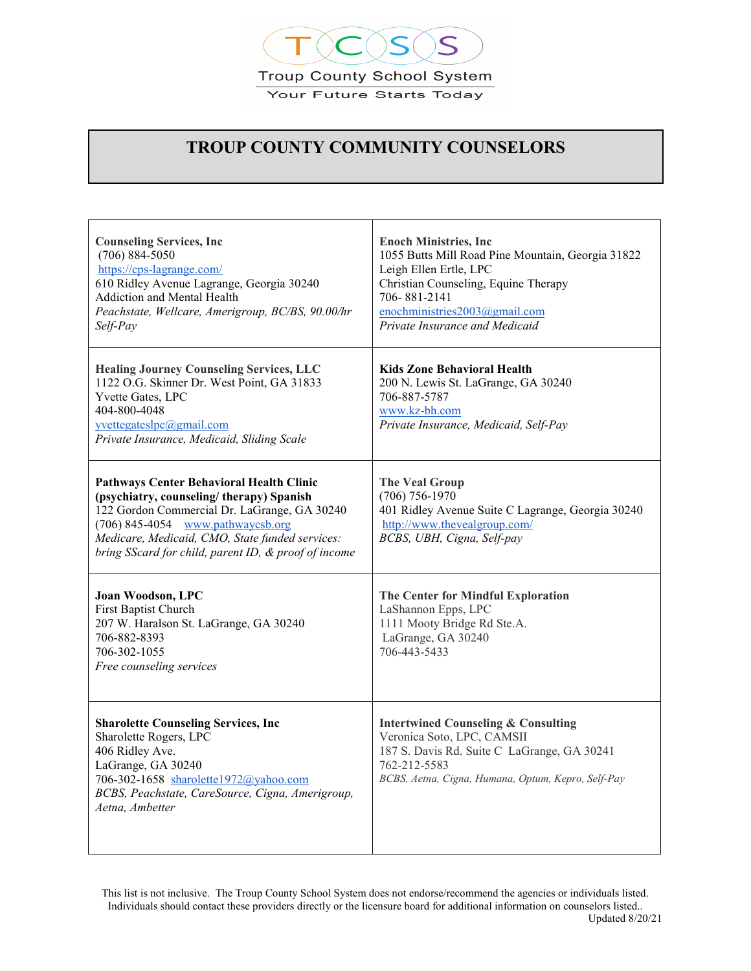

## **TROUP COUNTY COMMUNITY COUNSELORS**

| <b>Counseling Services, Inc.</b><br>$(706) 884 - 5050$<br>https://cps-lagrange.com/<br>610 Ridley Avenue Lagrange, Georgia 30240<br><b>Addiction and Mental Health</b><br>Peachstate, Wellcare, Amerigroup, BC/BS, 90.00/hr<br>Self-Pay                                                          | <b>Enoch Ministries, Inc.</b><br>1055 Butts Mill Road Pine Mountain, Georgia 31822<br>Leigh Ellen Ertle, LPC<br>Christian Counseling, Equine Therapy<br>706-881-2141<br>enochministries2003@gmail.com<br>Private Insurance and Medicaid |
|--------------------------------------------------------------------------------------------------------------------------------------------------------------------------------------------------------------------------------------------------------------------------------------------------|-----------------------------------------------------------------------------------------------------------------------------------------------------------------------------------------------------------------------------------------|
| <b>Healing Journey Counseling Services, LLC</b><br>1122 O.G. Skinner Dr. West Point, GA 31833<br>Yvette Gates, LPC<br>404-800-4048<br>yvettegateslpc@gmail.com<br>Private Insurance, Medicaid, Sliding Scale                                                                                     | <b>Kids Zone Behavioral Health</b><br>200 N. Lewis St. LaGrange, GA 30240<br>706-887-5787<br>www.kz-bh.com<br>Private Insurance, Medicaid, Self-Pay                                                                                     |
| <b>Pathways Center Behavioral Health Clinic</b><br>(psychiatry, counseling/therapy) Spanish<br>122 Gordon Commercial Dr. LaGrange, GA 30240<br>$(706)$ 845-4054<br>www.pathwaycsb.org<br>Medicare, Medicaid, CMO, State funded services:<br>bring SScard for child, parent ID, & proof of income | <b>The Veal Group</b><br>$(706) 756 - 1970$<br>401 Ridley Avenue Suite C Lagrange, Georgia 30240<br>http://www.thevealgroup.com/<br>BCBS, UBH, Cigna, Self-pay                                                                          |
| Joan Woodson, LPC<br>First Baptist Church<br>207 W. Haralson St. LaGrange, GA 30240<br>706-882-8393<br>706-302-1055<br>Free counseling services                                                                                                                                                  | The Center for Mindful Exploration<br>LaShannon Epps, LPC<br>1111 Mooty Bridge Rd Ste.A.<br>LaGrange, GA 30240<br>706-443-5433                                                                                                          |
| <b>Sharolette Counseling Services, Inc.</b><br>Sharolette Rogers, LPC<br>406 Ridley Ave.<br>LaGrange, GA 30240<br>706-302-1658 sharolette1972@yahoo.com<br>BCBS, Peachstate, CareSource, Cigna, Amerigroup,<br>Aetna, Ambetter                                                                   | <b>Intertwined Counseling &amp; Consulting</b><br>Veronica Soto, LPC, CAMSII<br>187 S. Davis Rd. Suite C LaGrange, GA 30241<br>762-212-5583<br>BCBS, Aetna, Cigna, Humana, Optum, Kepro, Self-Pay                                       |

This list is not inclusive. The Troup County School System does not endorse/recommend the agencies or individuals listed. Individuals should contact these providers directly or the licensure board for additional information on counselors listed.. Updated 8/20/21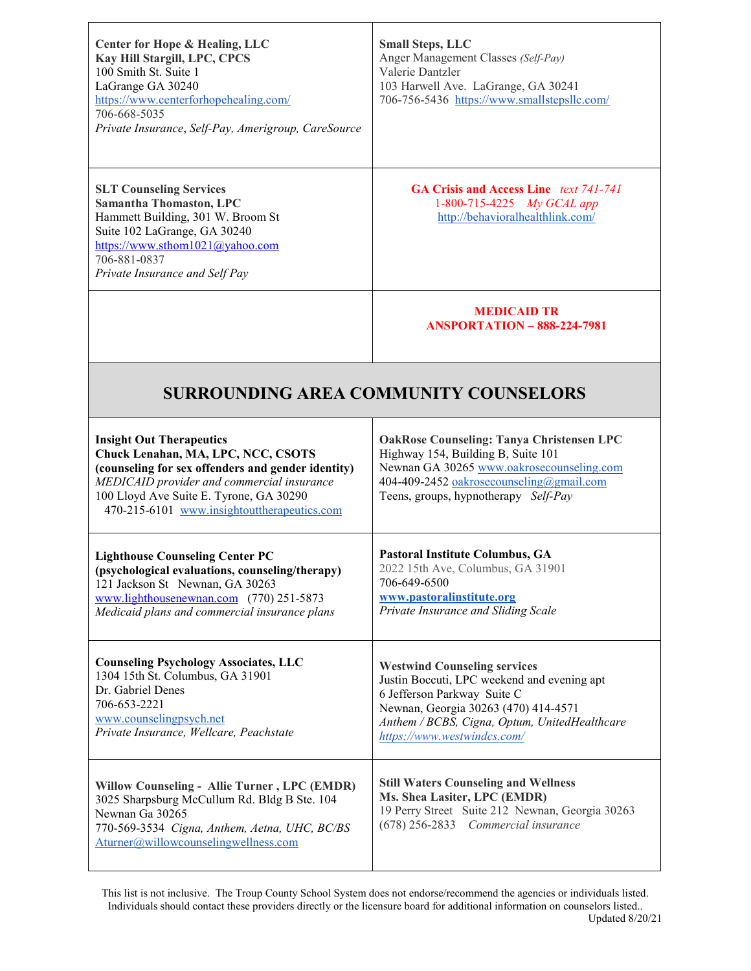| Center for Hope & Healing, LLC<br>Kay Hill Stargill, LPC, CPCS<br>100 Smith St. Suite 1<br>LaGrange GA 30240<br>https://www.centerforhopehealing.com/<br>706-668-5035<br>Private Insurance, Self-Pay, Amerigroup, CareSource<br><b>SLT Counseling Services</b><br><b>Samantha Thomaston, LPC</b><br>Hammett Building, 301 W. Broom St<br>Suite 102 LaGrange, GA 30240<br>https://www.sthom1021@yahoo.com | <b>Small Steps, LLC</b><br>Anger Management Classes (Self-Pay)<br>Valerie Dantzler<br>103 Harwell Ave. LaGrange, GA 30241<br>706-756-5436 https://www.smallstepsllc.com/<br><b>GA Crisis and Access Line</b> text 741-741<br>1-800-715-4225 My GCAL app<br>http://behavioralhealthlink.com/ |  |
|----------------------------------------------------------------------------------------------------------------------------------------------------------------------------------------------------------------------------------------------------------------------------------------------------------------------------------------------------------------------------------------------------------|---------------------------------------------------------------------------------------------------------------------------------------------------------------------------------------------------------------------------------------------------------------------------------------------|--|
| 706-881-0837<br>Private Insurance and Self Pay                                                                                                                                                                                                                                                                                                                                                           | <b>MEDICAID TR</b><br><b>ANSPORTATION - 888-224-7981</b>                                                                                                                                                                                                                                    |  |
| <b>SURROUNDING AREA COMMUNITY COUNSELORS</b>                                                                                                                                                                                                                                                                                                                                                             |                                                                                                                                                                                                                                                                                             |  |
| <b>Insight Out Therapeutics</b><br>Chuck Lenahan, MA, LPC, NCC, CSOTS<br>(counseling for sex offenders and gender identity)<br>MEDICAID provider and commercial insurance<br>100 Lloyd Ave Suite E. Tyrone, GA 30290<br>470-215-6101 www.insightouttherapeutics.com                                                                                                                                      | <b>OakRose Counseling: Tanya Christensen LPC</b><br>Highway 154, Building B, Suite 101<br>Newnan GA 30265 www.oakrosecounseling.com<br>404-409-2452 oakrosecounseling@gmail.com<br>Teens, groups, hypnotherapy Self-Pay                                                                     |  |
| <b>Lighthouse Counseling Center PC</b><br>(psychological evaluations, counseling/therapy)<br>121 Jackson St Newnan, GA 30263<br>$\frac{www.lighth}{}$ (770) 251-5873<br>Medicaid plans and commercial insurance plans                                                                                                                                                                                    | Pastoral Institute Columbus, GA<br>2022 15th Ave, Columbus, GA 31901<br>706-649-6500<br>www.pastoralinstitute.org<br>Private Insurance and Sliding Scale                                                                                                                                    |  |
| <b>Counseling Psychology Associates, LLC</b><br>1304 15th St. Columbus, GA 31901<br>Dr. Gabriel Denes<br>706-653-2221<br>www.counselingpsych.net<br>Private Insurance, Wellcare, Peachstate                                                                                                                                                                                                              | <b>Westwind Counseling services</b><br>Justin Boccuti, LPC weekend and evening apt<br>6 Jefferson Parkway Suite C<br>Newnan, Georgia 30263 (470) 414-4571<br>Anthem / BCBS, Cigna, Optum, UnitedHealthcare<br>https://www.westwindcs.com/                                                   |  |
| Willow Counseling - Allie Turner, LPC (EMDR)<br>3025 Sharpsburg McCullum Rd. Bldg B Ste. 104<br>Newnan Ga 30265<br>770-569-3534 Cigna, Anthem, Aetna, UHC, BC/BS<br>Aturner@willowcounselingwellness.com                                                                                                                                                                                                 | <b>Still Waters Counseling and Wellness</b><br>Ms. Shea Lasiter, LPC (EMDR)<br>19 Perry Street Suite 212 Newnan, Georgia 30263<br>(678) 256-2833 Commercial insurance                                                                                                                       |  |

This list is not inclusive. The Troup County School System does not endorse/recommend the agencies or individuals listed. Individuals should contact these providers directly or the licensure board for additional information on counselors listed.. Updated 8/20/21

 $\mathsf{l}$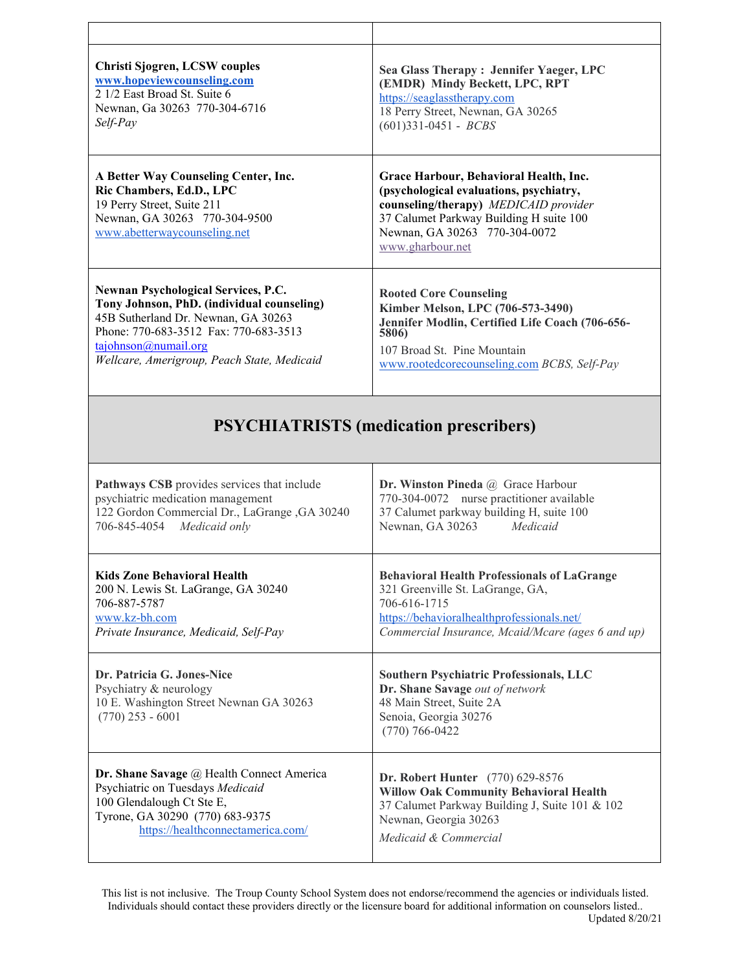| Christi Sjogren, LCSW couples<br>www.hopeviewcounseling.com<br>2 1/2 East Broad St. Suite 6<br>Newnan, Ga 30263 770-304-6716<br>Self-Pay                                                                                                        | Sea Glass Therapy: Jennifer Yaeger, LPC<br>(EMDR) Mindy Beckett, LPC, RPT<br>https://seaglasstherapy.com<br>18 Perry Street, Newnan, GA 30265<br>$(601)331-0451 - BCBS$                                                    |
|-------------------------------------------------------------------------------------------------------------------------------------------------------------------------------------------------------------------------------------------------|----------------------------------------------------------------------------------------------------------------------------------------------------------------------------------------------------------------------------|
| A Better Way Counseling Center, Inc.<br>Ric Chambers, Ed.D., LPC<br>19 Perry Street, Suite 211<br>Newnan, GA 30263 770-304-9500<br>www.abetterwaycounseling.net                                                                                 | Grace Harbour, Behavioral Health, Inc.<br>(psychological evaluations, psychiatry,<br>counseling/therapy) MEDICAID provider<br>37 Calumet Parkway Building H suite 100<br>Newnan, GA 30263 770-304-0072<br>www.gharbour.net |
| <b>Newnan Psychological Services, P.C.</b><br>Tony Johnson, PhD. (individual counseling)<br>45B Sutherland Dr. Newnan, GA 30263<br>Phone: 770-683-3512 Fax: 770-683-3513<br>tajohnson@numail.org<br>Wellcare, Amerigroup, Peach State, Medicaid | <b>Rooted Core Counseling</b><br>Kimber Melson, LPC (706-573-3490)<br>Jennifer Modlin, Certified Life Coach (706-656-<br>5806)<br>107 Broad St. Pine Mountain<br>www.rootedcorecounseling.com BCBS, Self-Pay               |
| <b>PSYCHIATRISTS</b> (medication prescribers)                                                                                                                                                                                                   |                                                                                                                                                                                                                            |

 $\overline{1}$ 

| Pathways CSB provides services that include<br>psychiatric medication management<br>122 Gordon Commercial Dr., LaGrange , GA 30240<br>706-845-4054 Medicaid only | Dr. Winston Pineda @ Grace Harbour<br>770-304-0072 nurse practitioner available<br>37 Calumet parkway building H, suite 100<br>Newnan, GA 30263<br>Medicaid  |
|------------------------------------------------------------------------------------------------------------------------------------------------------------------|--------------------------------------------------------------------------------------------------------------------------------------------------------------|
| <b>Kids Zone Behavioral Health</b>                                                                                                                               | <b>Behavioral Health Professionals of LaGrange</b>                                                                                                           |
| 200 N. Lewis St. LaGrange, GA 30240                                                                                                                              | 321 Greenville St. LaGrange, GA,                                                                                                                             |
| 706-887-5787                                                                                                                                                     | 706-616-1715                                                                                                                                                 |
| www.kz-bh.com                                                                                                                                                    | https://behavioralhealthprofessionals.net/                                                                                                                   |
| Private Insurance, Medicaid, Self-Pay                                                                                                                            | Commercial Insurance, Mcaid/Mcare (ages 6 and up)                                                                                                            |
| Dr. Patricia G. Jones-Nice<br>Psychiatry & neurology<br>10 E. Washington Street Newnan GA 30263<br>$(770)$ 253 - 6001                                            | <b>Southern Psychiatric Professionals, LLC</b><br>Dr. Shane Savage out of network<br>48 Main Street, Suite 2A<br>Senoia, Georgia 30276<br>$(770) 766 - 0422$ |
| Dr. Shane Savage @ Health Connect America                                                                                                                        | <b>Dr. Robert Hunter</b> (770) 629-8576                                                                                                                      |
| Psychiatric on Tuesdays Medicaid                                                                                                                                 | <b>Willow Oak Community Behavioral Health</b>                                                                                                                |
| 100 Glendalough Ct Ste E,                                                                                                                                        | 37 Calumet Parkway Building J, Suite 101 & 102                                                                                                               |
| Tyrone, GA 30290 (770) 683-9375                                                                                                                                  | Newnan, Georgia 30263                                                                                                                                        |
| https://healthconnectamerica.com/                                                                                                                                | Medicaid & Commercial                                                                                                                                        |

 $\mathbf{I}$ 

This list is not inclusive. The Troup County School System does not endorse/recommend the agencies or individuals listed. Individuals should contact these providers directly or the licensure board for additional information on counselors listed.. Updated 8/20/21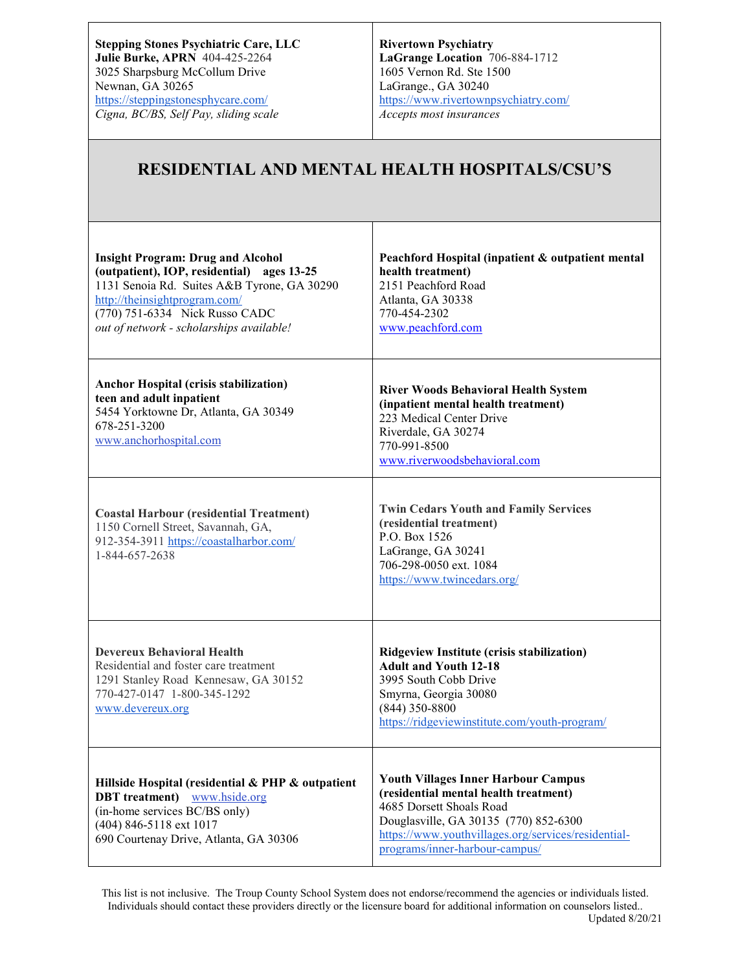**Stepping Stones Psychiatric Care, LLC Julie Burke, APRN** 404-425-2264 3025 Sharpsburg McCollum Drive Newnan, GA 30265 <https://steppingstonesphycare.com/> *Cigna, BC/BS, Self Pay, sliding scale*

## **RESIDENTIAL AND MENTAL HEALTH HOSPITALS/CSU'S**

| <b>Insight Program: Drug and Alcohol</b><br>(outpatient), IOP, residential) ages 13-25<br>1131 Senoia Rd. Suites A&B Tyrone, GA 30290<br>http://theinsightprogram.com/<br>(770) 751-6334 Nick Russo CADC<br>out of network - scholarships available! | Peachford Hospital (inpatient & outpatient mental<br>health treatment)<br>2151 Peachford Road<br>Atlanta, GA 30338<br>770-454-2302<br>www.peachford.com                                                                                           |
|------------------------------------------------------------------------------------------------------------------------------------------------------------------------------------------------------------------------------------------------------|---------------------------------------------------------------------------------------------------------------------------------------------------------------------------------------------------------------------------------------------------|
| <b>Anchor Hospital (crisis stabilization)</b><br>teen and adult inpatient<br>5454 Yorktowne Dr, Atlanta, GA 30349<br>678-251-3200<br>www.anchorhospital.com                                                                                          | <b>River Woods Behavioral Health System</b><br>(inpatient mental health treatment)<br>223 Medical Center Drive<br>Riverdale, GA 30274<br>770-991-8500<br>www.riverwoodsbehavioral.com                                                             |
| <b>Coastal Harbour (residential Treatment)</b><br>1150 Cornell Street, Savannah, GA,<br>912-354-3911 https://coastalharbor.com/<br>1-844-657-2638                                                                                                    | <b>Twin Cedars Youth and Family Services</b><br>(residential treatment)<br>P.O. Box 1526<br>LaGrange, GA 30241<br>706-298-0050 ext. 1084<br>https://www.twincedars.org/                                                                           |
| Devereux Behavioral Health<br>Residential and foster care treatment<br>1291 Stanley Road Kennesaw, GA 30152<br>770-427-0147 1-800-345-1292<br>www.devereux.org                                                                                       | Ridgeview Institute (crisis stabilization)<br><b>Adult and Youth 12-18</b><br>3995 South Cobb Drive<br>Smyrna, Georgia 30080<br>$(844)$ 350-8800<br>https://ridgeviewinstitute.com/youth-program/                                                 |
| Hillside Hospital (residential & PHP & outpatient<br><b>DBT</b> treatment) www.hside.org<br>(in-home services BC/BS only)<br>(404) 846-5118 ext 1017<br>690 Courtenay Drive, Atlanta, GA 30306                                                       | <b>Youth Villages Inner Harbour Campus</b><br>(residential mental health treatment)<br>4685 Dorsett Shoals Road<br>Douglasville, GA 30135 (770) 852-6300<br>https://www.youthvillages.org/services/residential-<br>programs/inner-harbour-campus/ |

This list is not inclusive. The Troup County School System does not endorse/recommend the agencies or individuals listed. Individuals should contact these providers directly or the licensure board for additional information on counselors listed.. Updated 8/20/21